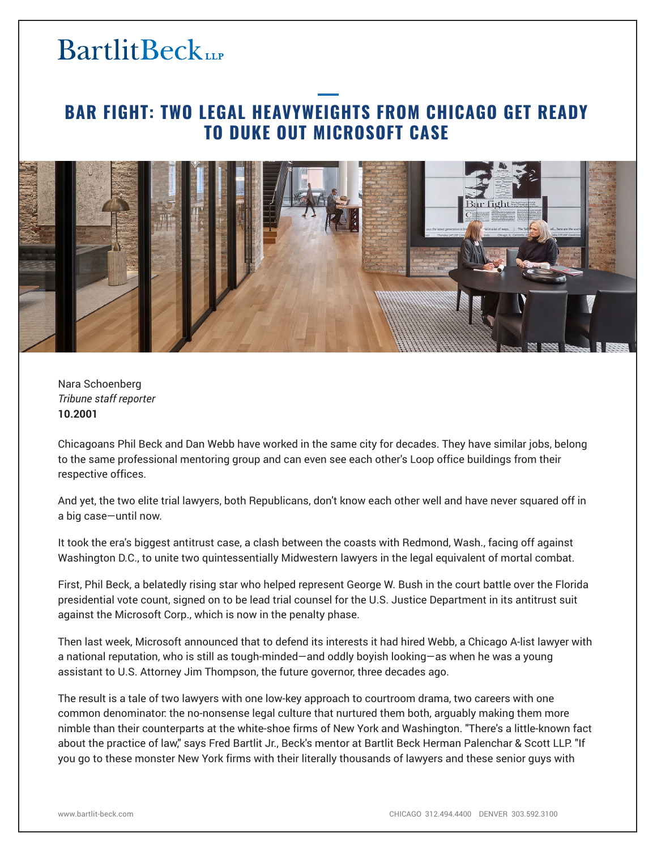### **BAR FIGHT: TWO LEGAL HEAVYWEIGHTS FROM CHICAGO GET READY TO DUKE OUT MICROSOFT CASE**



Nara Schoenberg *Tribune staff reporter* **10.2001**

Chicagoans Phil Beck and Dan Webb have worked in the same city for decades. They have similar jobs, belong to the same professional mentoring group and can even see each other's Loop office buildings from their respective offices.

And yet, the two elite trial lawyers, both Republicans, don't know each other well and have never squared off in a big case—until now.

It took the era's biggest antitrust case, a clash between the coasts with Redmond, Wash., facing off against Washington D.C., to unite two quintessentially Midwestern lawyers in the legal equivalent of mortal combat.

First, Phil Beck, a belatedly rising star who helped represent George W. Bush in the court battle over the Florida presidential vote count, signed on to be lead trial counsel for the U.S. Justice Department in its antitrust suit against the Microsoft Corp., which is now in the penalty phase.

Then last week, Microsoft announced that to defend its interests it had hired Webb, a Chicago A-list lawyer with a national reputation, who is still as tough-minded—and oddly boyish looking—as when he was a young assistant to U.S. Attorney Jim Thompson, the future governor, three decades ago.

The result is a tale of two lawyers with one low-key approach to courtroom drama, two careers with one common denominator: the no-nonsense legal culture that nurtured them both, arguably making them more nimble than their counterparts at the white-shoe firms of New York and Washington. "There's a little-known fact about the practice of law," says Fred Bartlit Jr., Beck's mentor at Bartlit Beck Herman Palenchar & Scott LLP. "If you go to these monster New York firms with their literally thousands of lawyers and these senior guys with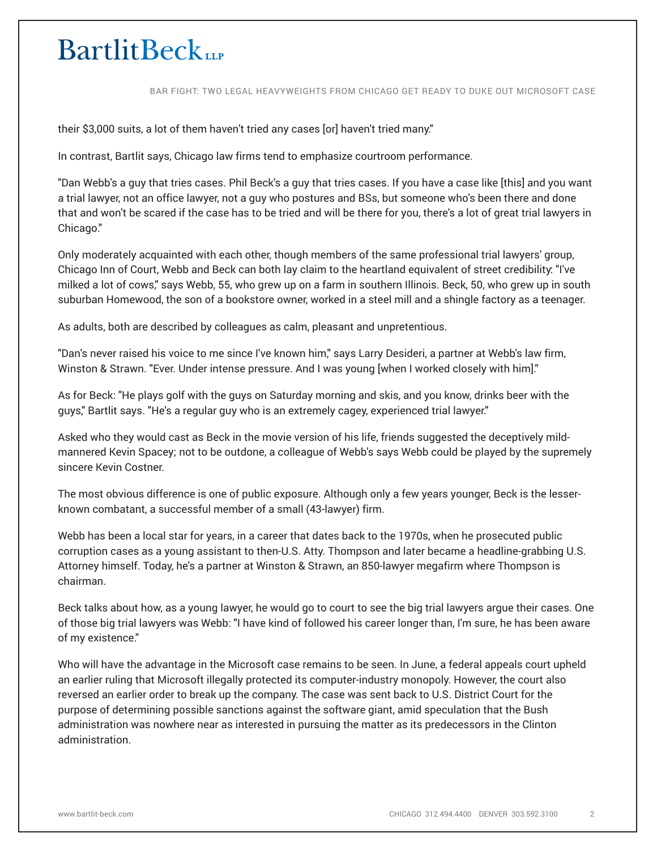BAR FIGHT: TWO LEGAL HEAVYWEIGHTS FROM CHICAGO GET READY TO DUKE OUT MICROSOFT CASE

their \$3,000 suits, a lot of them haven't tried any cases [or] haven't tried many."

In contrast, Bartlit says, Chicago law firms tend to emphasize courtroom performance.

"Dan Webb's a guy that tries cases. Phil Beck's a guy that tries cases. If you have a case like [this] and you want a trial lawyer, not an office lawyer, not a guy who postures and BSs, but someone who's been there and done that and won't be scared if the case has to be tried and will be there for you, there's a lot of great trial lawyers in Chicago."

Only moderately acquainted with each other, though members of the same professional trial lawyers' group, Chicago Inn of Court, Webb and Beck can both lay claim to the heartland equivalent of street credibility: "I've milked a lot of cows," says Webb, 55, who grew up on a farm in southern Illinois. Beck, 50, who grew up in south suburban Homewood, the son of a bookstore owner, worked in a steel mill and a shingle factory as a teenager.

As adults, both are described by colleagues as calm, pleasant and unpretentious.

"Dan's never raised his voice to me since I've known him," says Larry Desideri, a partner at Webb's law firm, Winston & Strawn. "Ever. Under intense pressure. And I was young [when I worked closely with him]."

As for Beck: "He plays golf with the guys on Saturday morning and skis, and you know, drinks beer with the guys," Bartlit says. "He's a regular guy who is an extremely cagey, experienced trial lawyer."

Asked who they would cast as Beck in the movie version of his life, friends suggested the deceptively mildmannered Kevin Spacey; not to be outdone, a colleague of Webb's says Webb could be played by the supremely sincere Kevin Costner.

The most obvious difference is one of public exposure. Although only a few years younger, Beck is the lesserknown combatant, a successful member of a small (43-lawyer) firm.

Webb has been a local star for years, in a career that dates back to the 1970s, when he prosecuted public corruption cases as a young assistant to then-U.S. Atty. Thompson and later became a headline-grabbing U.S. Attorney himself. Today, he's a partner at Winston & Strawn, an 850-lawyer megafirm where Thompson is chairman.

Beck talks about how, as a young lawyer, he would go to court to see the big trial lawyers argue their cases. One of those big trial lawyers was Webb: "I have kind of followed his career longer than, I'm sure, he has been aware of my existence."

Who will have the advantage in the Microsoft case remains to be seen. In June, a federal appeals court upheld an earlier ruling that Microsoft illegally protected its computer-industry monopoly. However, the court also reversed an earlier order to break up the company. The case was sent back to U.S. District Court for the purpose of determining possible sanctions against the software giant, amid speculation that the Bush administration was nowhere near as interested in pursuing the matter as its predecessors in the Clinton administration.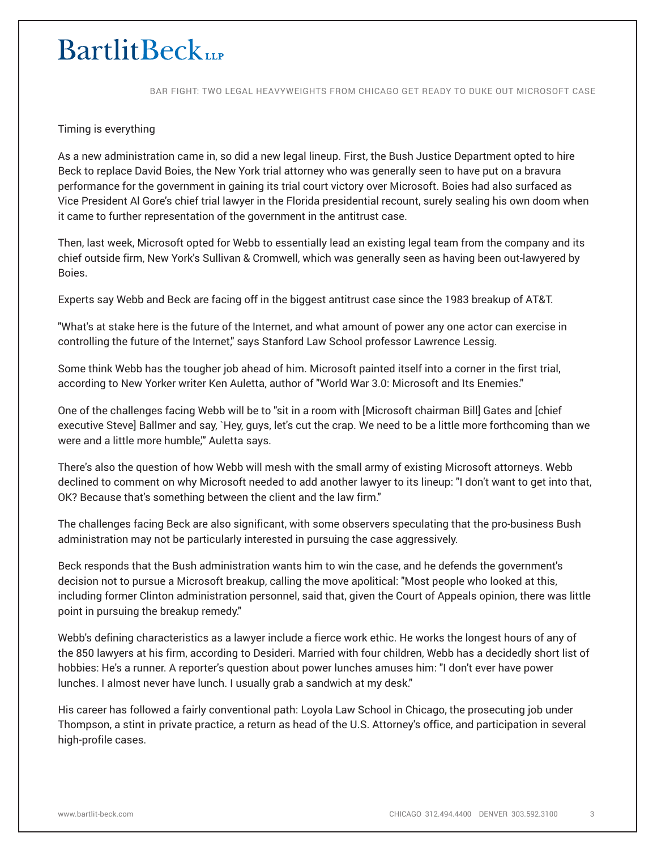BAR FIGHT: TWO LEGAL HEAVYWEIGHTS FROM CHICAGO GET READY TO DUKE OUT MICROSOFT CASE

#### Timing is everything

As a new administration came in, so did a new legal lineup. First, the Bush Justice Department opted to hire Beck to replace David Boies, the New York trial attorney who was generally seen to have put on a bravura performance for the government in gaining its trial court victory over Microsoft. Boies had also surfaced as Vice President Al Gore's chief trial lawyer in the Florida presidential recount, surely sealing his own doom when it came to further representation of the government in the antitrust case.

Then, last week, Microsoft opted for Webb to essentially lead an existing legal team from the company and its chief outside firm, New York's Sullivan & Cromwell, which was generally seen as having been out-lawyered by Boies.

Experts say Webb and Beck are facing off in the biggest antitrust case since the 1983 breakup of AT&T.

"What's at stake here is the future of the Internet, and what amount of power any one actor can exercise in controlling the future of the Internet," says Stanford Law School professor Lawrence Lessig.

Some think Webb has the tougher job ahead of him. Microsoft painted itself into a corner in the first trial, according to New Yorker writer Ken Auletta, author of "World War 3.0: Microsoft and Its Enemies."

One of the challenges facing Webb will be to "sit in a room with [Microsoft chairman Bill] Gates and [chief executive Steve] Ballmer and say, `Hey, guys, let's cut the crap. We need to be a little more forthcoming than we were and a little more humble," Auletta says.

There's also the question of how Webb will mesh with the small army of existing Microsoft attorneys. Webb declined to comment on why Microsoft needed to add another lawyer to its lineup: "I don't want to get into that, OK? Because that's something between the client and the law firm."

The challenges facing Beck are also significant, with some observers speculating that the pro-business Bush administration may not be particularly interested in pursuing the case aggressively.

Beck responds that the Bush administration wants him to win the case, and he defends the government's decision not to pursue a Microsoft breakup, calling the move apolitical: "Most people who looked at this, including former Clinton administration personnel, said that, given the Court of Appeals opinion, there was little point in pursuing the breakup remedy."

Webb's defining characteristics as a lawyer include a fierce work ethic. He works the longest hours of any of the 850 lawyers at his firm, according to Desideri. Married with four children, Webb has a decidedly short list of hobbies: He's a runner. A reporter's question about power lunches amuses him: "I don't ever have power lunches. I almost never have lunch. I usually grab a sandwich at my desk."

His career has followed a fairly conventional path: Loyola Law School in Chicago, the prosecuting job under Thompson, a stint in private practice, a return as head of the U.S. Attorney's office, and participation in several high-profile cases.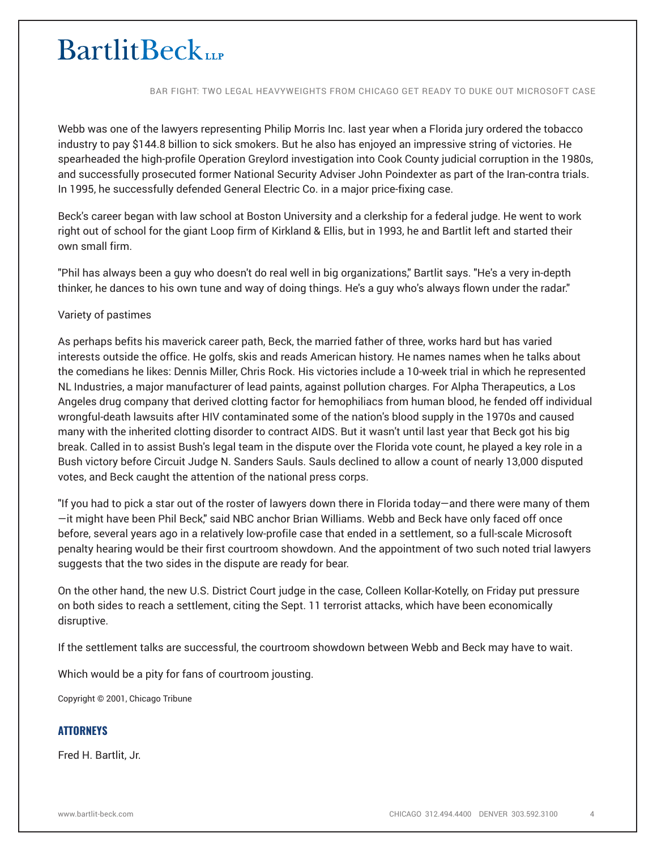BAR FIGHT: TWO LEGAL HEAVYWEIGHTS FROM CHICAGO GET READY TO DUKE OUT MICROSOFT CASE

Webb was one of the lawyers representing Philip Morris Inc. last year when a Florida jury ordered the tobacco industry to pay \$144.8 billion to sick smokers. But he also has enjoyed an impressive string of victories. He spearheaded the high-profile Operation Greylord investigation into Cook County judicial corruption in the 1980s, and successfully prosecuted former National Security Adviser John Poindexter as part of the Iran-contra trials. In 1995, he successfully defended General Electric Co. in a major price-fixing case.

Beck's career began with law school at Boston University and a clerkship for a federal judge. He went to work right out of school for the giant Loop firm of Kirkland & Ellis, but in 1993, he and Bartlit left and started their own small firm.

"Phil has always been a guy who doesn't do real well in big organizations," Bartlit says. "He's a very in-depth thinker, he dances to his own tune and way of doing things. He's a guy who's always flown under the radar."

### Variety of pastimes

As perhaps befits his maverick career path, Beck, the married father of three, works hard but has varied interests outside the office. He golfs, skis and reads American history. He names names when he talks about the comedians he likes: Dennis Miller, Chris Rock. His victories include a 10-week trial in which he represented NL Industries, a major manufacturer of lead paints, against pollution charges. For Alpha Therapeutics, a Los Angeles drug company that derived clotting factor for hemophiliacs from human blood, he fended off individual wrongful-death lawsuits after HIV contaminated some of the nation's blood supply in the 1970s and caused many with the inherited clotting disorder to contract AIDS. But it wasn't until last year that Beck got his big break. Called in to assist Bush's legal team in the dispute over the Florida vote count, he played a key role in a Bush victory before Circuit Judge N. Sanders Sauls. Sauls declined to allow a count of nearly 13,000 disputed votes, and Beck caught the attention of the national press corps.

"If you had to pick a star out of the roster of lawyers down there in Florida today—and there were many of them —it might have been Phil Beck," said NBC anchor Brian Williams. Webb and Beck have only faced off once before, several years ago in a relatively low-profile case that ended in a settlement, so a full-scale Microsoft penalty hearing would be their first courtroom showdown. And the appointment of two such noted trial lawyers suggests that the two sides in the dispute are ready for bear.

On the other hand, the new U.S. District Court judge in the case, Colleen Kollar-Kotelly, on Friday put pressure on both sides to reach a settlement, citing the Sept. 11 terrorist attacks, which have been economically disruptive.

If the settlement talks are successful, the courtroom showdown between Webb and Beck may have to wait.

Which would be a pity for fans of courtroom jousting.

Copyright © 2001, Chicago Tribune

### **ATTORNEYS**

Fred H. Bartlit, Jr.